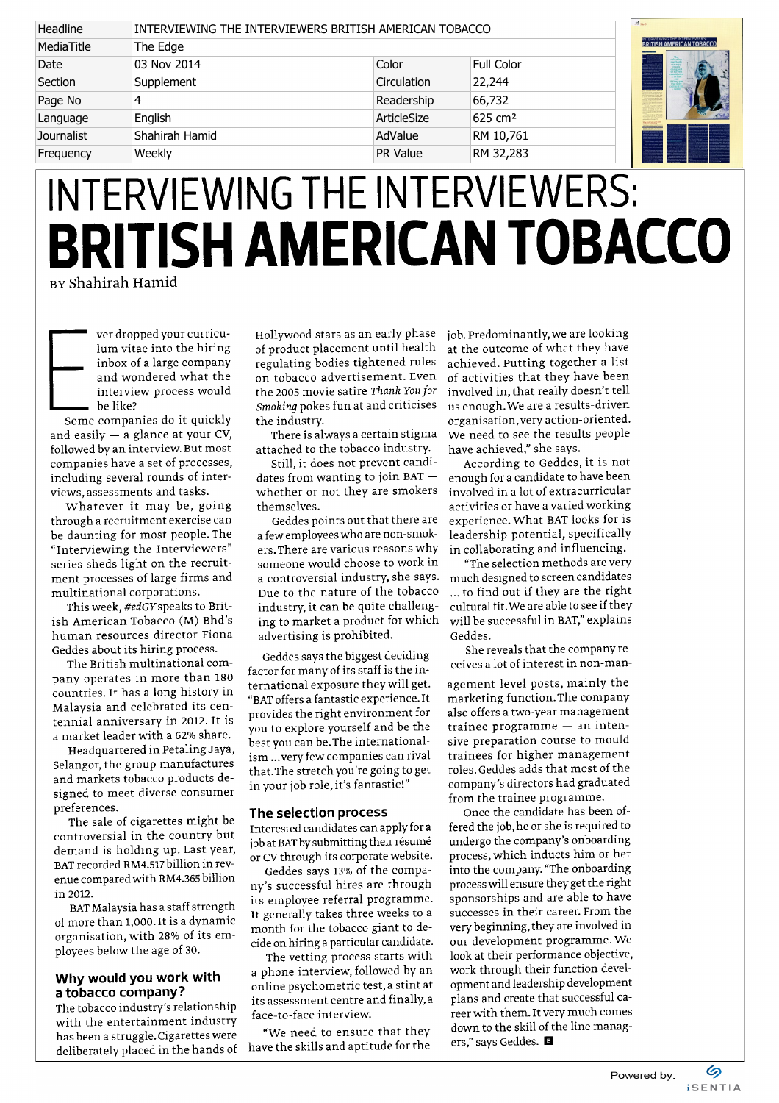| Headline          | INTERVIEWING THE INTERVIEWERS BRITISH AMERICAN TOBACCO |             |                    | $-1.945$                                                   |
|-------------------|--------------------------------------------------------|-------------|--------------------|------------------------------------------------------------|
| MediaTitle        | The Edge                                               |             |                    | INTERVIEWING THE INTERVIEWERS:<br>BRITISH AMERICAN TOBACCO |
| Date              | 03 Nov 2014                                            | Color       | <b>Full Color</b>  |                                                            |
| Section           | Supplement                                             | Circulation | 22,244             |                                                            |
| Page No           |                                                        | Readership  | 66,732             |                                                            |
| Language          | English                                                | ArticleSize | $625 \text{ cm}^2$ |                                                            |
| <b>Journalist</b> | Shahirah Hamid                                         | AdValue     | RM 10,761          |                                                            |
| Frequency         | Weekly                                                 | PR Value    | RM 32,283          |                                                            |

## INTERVIEWING THE INTERVIEWERS: BRITISH AMERICAN TOBACCO

by Shahirah Hamid

ver dropped your curriculum vitae into the hiring inbox of a large company and wondered what the interview process would be like?

Some companies do it quickly and easily — a glance at your CV, followed by an interview. But most companies have a set of processes, including several rounds of interviews, assessments and tasks.

Whatever it may be, going through a recruitment exercise can be daunting for most people. The "Interviewing the Interviewers" series sheds light on the recruitment processes of large firms and multinational corporations.

This week, #edGYspeaks to British American Tobacco (M) Bhd's human resources director Fiona Geddes about its hiring process.

The British multinational company operates in more than 180 countries. It has a long history in Malaysia and celebrated its centennial anniversary in 2012. It is a market leader with a 62% share.

Headquartered in Petaling Jaya, Selangor, the group manufactures and markets tobacco products designed to meet diverse consumer preferences.

The sale of cigarettes might be controversial in the country but demand is holding up. Last year, BAT recorded RM4.517 billion in revenue compared with RM4.365 billion in 2012.

BAT Malaysia has a staff strength of more than 1,000. It is a dynamic organisation, with 28% of its employees below the age of 30.

## Why would you work with a tobacco company?

The tobacco industry's relationship with the entertainment industry has been a struggle. Cigarettes were deliberately placed in the hands of Hollywood stars as an early phase of product placement until health regulating bodies tightened rules on tobacco advertisement. Even the 2005 movie satire Thank You for Smoking pokes fun at and criticises the industry.

There is always a certain stigma attached to the tobacco industry.

Still, it does not prevent candidates from wanting to join  $BAT$ whether or not they are smokers themselves.

Geddes points out that there are a few employees who are non-smokers. There are various reasons why someone would choose to work in a controversial industry, she says. Due to the nature of the tobacco industry, it can be quite challenging to market a product for which advertising is prohibited.

Geddes says the biggest deciding factor for many of its staff is the international exposure they will get. "BAT offers a fantastic experience. It provides the right environment for you to explore yourself and be the best you can be.The internationalism ...very few companies can rival that.The stretch you're going to get in your job role, it's fantastic!"

## The selection process

Interested candidates can apply for a job at BAT by submitting their résumé or CV through its corporate website.

Geddes says 13% of the company's successful hires are through its employee referral programme. It generally takes three weeks to a month for the tobacco giant to decide on hiring a particular candidate.

The vetting process starts with a phone interview, followed by an online psychometric test, a stint at its assessment centre and finally, a face-to-face interview.

"We need to ensure that they have the skills and aptitude for the job. Predominantly, we are looking at the outcome of what they have achieved. Putting together a list of activities that they have been involved in, that really doesn't tell us enough. We are a results-driven organisation, very action-oriented. We need to see the results people have achieved," she says.

According to Geddes, it is not enough for a candidate to have been involved in a lot of extracurricular activities or have a varied working experience. What BAT looks for is leadership potential, specifically in collaborating and influencing.

"The selection methods are very much designed to screen candidates ... to find out if they are the right cultural fit. We are able to see if they will be successful in BAT," explains Geddes.

She reveals that the company receives a lot of interest in non-man-

agement level posts, mainly the marketing function. The company also offers a two-year management trainee programme — an intensive preparation course to mould trainees for higher management roles. Geddes adds that most of the company's directors had graduated from the trainee programme.

Once the candidate has been offered the job,he or she is required to undergo the company's onboarding process, which inducts him or her into the company. "The onboarding process will ensure they get the right sponsorships and are able to have successes in their career. From the very beginning, they are involved in our development programme. We look at their performance objective, work through their function development and leadership development plans and create that successful career with them. It very much comes down to the skill of the line managers," says Geddes. **□**